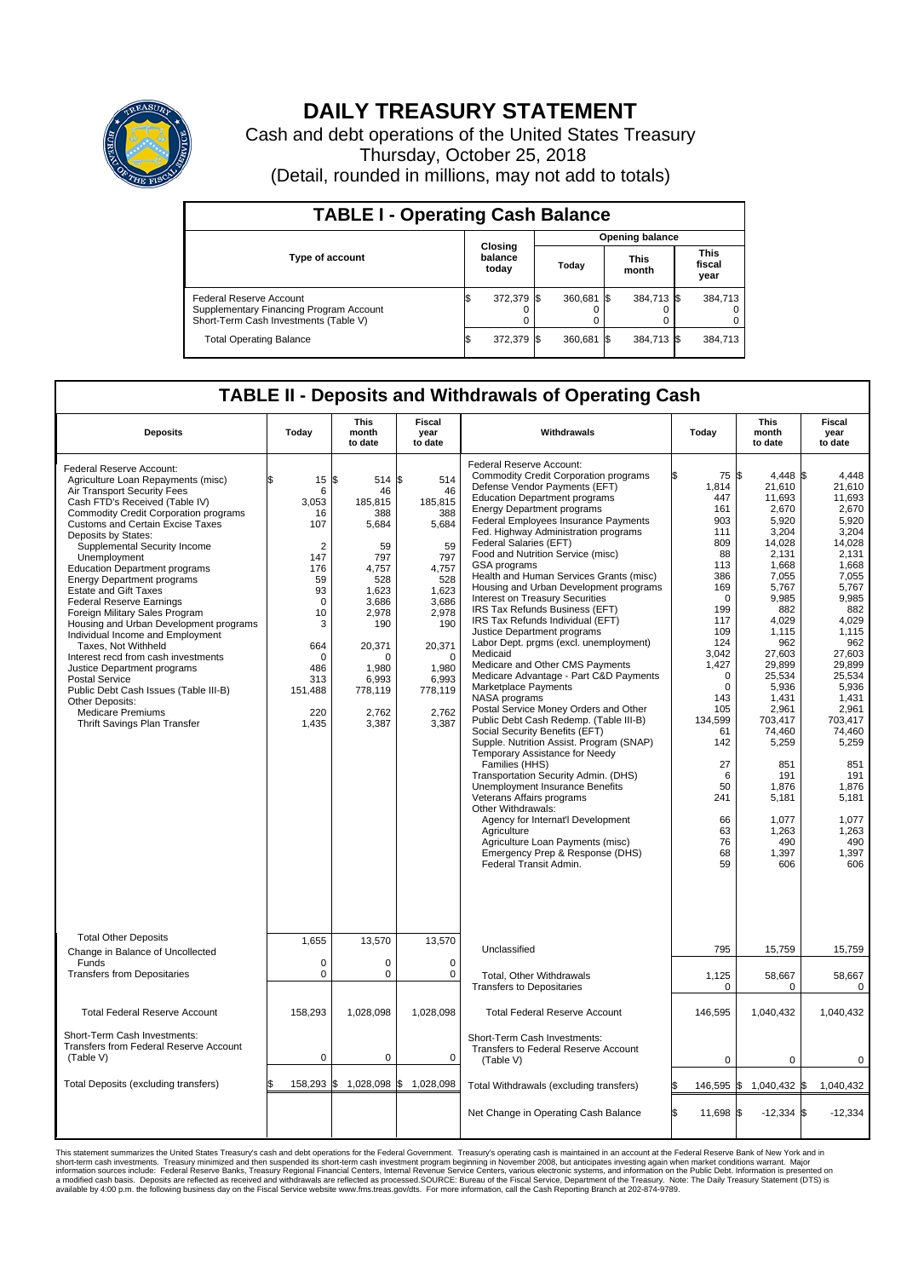

## **DAILY TREASURY STATEMENT**

Cash and debt operations of the United States Treasury Thursday, October 25, 2018 (Detail, rounded in millions, may not add to totals)

| <b>TABLE I - Operating Cash Balance</b>                                                                     |    |                             |  |                        |  |                      |  |                               |  |  |  |
|-------------------------------------------------------------------------------------------------------------|----|-----------------------------|--|------------------------|--|----------------------|--|-------------------------------|--|--|--|
|                                                                                                             |    |                             |  | <b>Opening balance</b> |  |                      |  |                               |  |  |  |
| <b>Type of account</b>                                                                                      |    | Closing<br>balance<br>today |  | Today                  |  | <b>This</b><br>month |  | <b>This</b><br>fiscal<br>year |  |  |  |
| Federal Reserve Account<br>Supplementary Financing Program Account<br>Short-Term Cash Investments (Table V) |    | 372,379 \$                  |  | 360.681 \$             |  | 384,713 \$           |  | 384,713                       |  |  |  |
| <b>Total Operating Balance</b>                                                                              | IЭ | 372,379 \$                  |  | 360,681 \$             |  | 384,713 \$           |  | 384,713                       |  |  |  |

## **TABLE II - Deposits and Withdrawals of Operating Cash**

| <b>Deposits</b>                                                                                                                                                                                                                                                                                                                                                                                                                                                                                                                                                                                                                                                                                                                                                                                                 | Today                                                                                                                                                              | <b>This</b><br>month<br>to date                                                                                                                                                    | <b>Fiscal</b><br>year<br>to date                                                                                                                                            | Withdrawals                                                                                                                                                                                                                                                                                                                                                                                                                                                                                                                                                                                                                                                                                                                                                                                                                                                                                                                                                                                                                                                                                                                                                                                                                                                                   | Today                                                                                                                                                                                                                                                         | This<br>month<br>to date                                                                                                                                                                                                                                                                                       | Fiscal<br>year<br>to date                                                                                                                                                                                                                                                                                   |
|-----------------------------------------------------------------------------------------------------------------------------------------------------------------------------------------------------------------------------------------------------------------------------------------------------------------------------------------------------------------------------------------------------------------------------------------------------------------------------------------------------------------------------------------------------------------------------------------------------------------------------------------------------------------------------------------------------------------------------------------------------------------------------------------------------------------|--------------------------------------------------------------------------------------------------------------------------------------------------------------------|------------------------------------------------------------------------------------------------------------------------------------------------------------------------------------|-----------------------------------------------------------------------------------------------------------------------------------------------------------------------------|-------------------------------------------------------------------------------------------------------------------------------------------------------------------------------------------------------------------------------------------------------------------------------------------------------------------------------------------------------------------------------------------------------------------------------------------------------------------------------------------------------------------------------------------------------------------------------------------------------------------------------------------------------------------------------------------------------------------------------------------------------------------------------------------------------------------------------------------------------------------------------------------------------------------------------------------------------------------------------------------------------------------------------------------------------------------------------------------------------------------------------------------------------------------------------------------------------------------------------------------------------------------------------|---------------------------------------------------------------------------------------------------------------------------------------------------------------------------------------------------------------------------------------------------------------|----------------------------------------------------------------------------------------------------------------------------------------------------------------------------------------------------------------------------------------------------------------------------------------------------------------|-------------------------------------------------------------------------------------------------------------------------------------------------------------------------------------------------------------------------------------------------------------------------------------------------------------|
| Federal Reserve Account:<br>Agriculture Loan Repayments (misc)<br>Air Transport Security Fees<br>Cash FTD's Received (Table IV)<br><b>Commodity Credit Corporation programs</b><br><b>Customs and Certain Excise Taxes</b><br>Deposits by States:<br>Supplemental Security Income<br>Unemployment<br><b>Education Department programs</b><br><b>Energy Department programs</b><br><b>Estate and Gift Taxes</b><br><b>Federal Reserve Earnings</b><br>Foreign Military Sales Program<br>Housing and Urban Development programs<br>Individual Income and Employment<br>Taxes, Not Withheld<br>Interest recd from cash investments<br>Justice Department programs<br><b>Postal Service</b><br>Public Debt Cash Issues (Table III-B)<br>Other Deposits:<br><b>Medicare Premiums</b><br>Thrift Savings Plan Transfer | 15<br>6<br>3,053<br>16<br>107<br>$\overline{2}$<br>147<br>176<br>59<br>93<br>$\mathbf 0$<br>10<br>3<br>664<br>$\mathbf 0$<br>486<br>313<br>151,488<br>220<br>1,435 | l\$<br>514 \$<br>46<br>185,815<br>388<br>5,684<br>59<br>797<br>4,757<br>528<br>1,623<br>3,686<br>2,978<br>190<br>20,371<br>$\Omega$<br>1.980<br>6,993<br>778,119<br>2,762<br>3,387 | 514<br>46<br>185,815<br>388<br>5,684<br>59<br>797<br>4,757<br>528<br>1,623<br>3,686<br>2,978<br>190<br>20,371<br>$\mathbf 0$<br>1,980<br>6,993<br>778,119<br>2,762<br>3,387 | Federal Reserve Account:<br><b>Commodity Credit Corporation programs</b><br>Defense Vendor Payments (EFT)<br><b>Education Department programs</b><br><b>Energy Department programs</b><br>Federal Employees Insurance Payments<br>Fed. Highway Administration programs<br><b>Federal Salaries (EFT)</b><br>Food and Nutrition Service (misc)<br>GSA programs<br>Health and Human Services Grants (misc)<br>Housing and Urban Development programs<br>Interest on Treasury Securities<br>IRS Tax Refunds Business (EFT)<br>IRS Tax Refunds Individual (EFT)<br>Justice Department programs<br>Labor Dept. prgms (excl. unemployment)<br>Medicaid<br>Medicare and Other CMS Payments<br>Medicare Advantage - Part C&D Payments<br>Marketplace Payments<br>NASA programs<br>Postal Service Money Orders and Other<br>Public Debt Cash Redemp. (Table III-B)<br>Social Security Benefits (EFT)<br>Supple. Nutrition Assist. Program (SNAP)<br>Temporary Assistance for Needy<br>Families (HHS)<br>Transportation Security Admin. (DHS)<br>Unemployment Insurance Benefits<br>Veterans Affairs programs<br>Other Withdrawals:<br>Agency for Internat'l Development<br>Agriculture<br>Agriculture Loan Payments (misc)<br>Emergency Prep & Response (DHS)<br>Federal Transit Admin. | 75 \$<br>1,814<br>447<br>161<br>903<br>111<br>809<br>88<br>113<br>386<br>169<br>$\Omega$<br>199<br>117<br>109<br>124<br>3.042<br>1,427<br>$\mathbf 0$<br>$\Omega$<br>143<br>105<br>134,599<br>61<br>142<br>27<br>6<br>50<br>241<br>66<br>63<br>76<br>68<br>59 | 4,448 \$<br>21,610<br>11,693<br>2,670<br>5,920<br>3,204<br>14,028<br>2,131<br>1,668<br>7,055<br>5,767<br>9,985<br>882<br>4,029<br>1,115<br>962<br>27,603<br>29,899<br>25,534<br>5,936<br>1.431<br>2,961<br>703,417<br>74,460<br>5,259<br>851<br>191<br>1,876<br>5.181<br>1,077<br>1,263<br>490<br>1,397<br>606 | 4,448<br>21,610<br>11.693<br>2,670<br>5,920<br>3,204<br>14.028<br>2,131<br>1,668<br>7,055<br>5,767<br>9,985<br>882<br>4,029<br>1,115<br>962<br>27.603<br>29,899<br>25,534<br>5,936<br>1.431<br>2,961<br>703.417<br>74,460<br>5,259<br>851<br>191<br>1,876<br>5,181<br>1,077<br>1,263<br>490<br>1,397<br>606 |
| <b>Total Other Deposits</b><br>Change in Balance of Uncollected                                                                                                                                                                                                                                                                                                                                                                                                                                                                                                                                                                                                                                                                                                                                                 | 1,655                                                                                                                                                              | 13,570                                                                                                                                                                             | 13,570                                                                                                                                                                      | Unclassified                                                                                                                                                                                                                                                                                                                                                                                                                                                                                                                                                                                                                                                                                                                                                                                                                                                                                                                                                                                                                                                                                                                                                                                                                                                                  | 795                                                                                                                                                                                                                                                           | 15,759                                                                                                                                                                                                                                                                                                         | 15,759                                                                                                                                                                                                                                                                                                      |
| Funds<br><b>Transfers from Depositaries</b>                                                                                                                                                                                                                                                                                                                                                                                                                                                                                                                                                                                                                                                                                                                                                                     | $\mathbf 0$<br>$\pmb{0}$                                                                                                                                           | 0<br>$\pmb{0}$                                                                                                                                                                     | $\mathbf 0$<br>$\mathbf 0$                                                                                                                                                  | Total, Other Withdrawals<br><b>Transfers to Depositaries</b>                                                                                                                                                                                                                                                                                                                                                                                                                                                                                                                                                                                                                                                                                                                                                                                                                                                                                                                                                                                                                                                                                                                                                                                                                  | 1,125<br>$\mathbf 0$                                                                                                                                                                                                                                          | 58,667<br>$\mathbf 0$                                                                                                                                                                                                                                                                                          | 58,667<br>$\mathbf 0$                                                                                                                                                                                                                                                                                       |
| <b>Total Federal Reserve Account</b>                                                                                                                                                                                                                                                                                                                                                                                                                                                                                                                                                                                                                                                                                                                                                                            | 158,293                                                                                                                                                            | 1,028,098                                                                                                                                                                          | 1,028,098                                                                                                                                                                   | <b>Total Federal Reserve Account</b>                                                                                                                                                                                                                                                                                                                                                                                                                                                                                                                                                                                                                                                                                                                                                                                                                                                                                                                                                                                                                                                                                                                                                                                                                                          | 146,595                                                                                                                                                                                                                                                       | 1,040,432                                                                                                                                                                                                                                                                                                      | 1,040,432                                                                                                                                                                                                                                                                                                   |
| Short-Term Cash Investments:<br>Transfers from Federal Reserve Account<br>(Table V)                                                                                                                                                                                                                                                                                                                                                                                                                                                                                                                                                                                                                                                                                                                             | $\mathbf 0$                                                                                                                                                        | $\mathbf 0$                                                                                                                                                                        | $\mathbf 0$                                                                                                                                                                 | Short-Term Cash Investments:<br>Transfers to Federal Reserve Account<br>(Table V)                                                                                                                                                                                                                                                                                                                                                                                                                                                                                                                                                                                                                                                                                                                                                                                                                                                                                                                                                                                                                                                                                                                                                                                             | $\pmb{0}$                                                                                                                                                                                                                                                     | 0                                                                                                                                                                                                                                                                                                              | 0                                                                                                                                                                                                                                                                                                           |
| Total Deposits (excluding transfers)                                                                                                                                                                                                                                                                                                                                                                                                                                                                                                                                                                                                                                                                                                                                                                            | \$                                                                                                                                                                 | 158,293 \$1,028,098 \$1,028,098                                                                                                                                                    |                                                                                                                                                                             | Total Withdrawals (excluding transfers)                                                                                                                                                                                                                                                                                                                                                                                                                                                                                                                                                                                                                                                                                                                                                                                                                                                                                                                                                                                                                                                                                                                                                                                                                                       | 146,595 \$                                                                                                                                                                                                                                                    | $1,040,432$ \$                                                                                                                                                                                                                                                                                                 | 1,040,432                                                                                                                                                                                                                                                                                                   |
|                                                                                                                                                                                                                                                                                                                                                                                                                                                                                                                                                                                                                                                                                                                                                                                                                 |                                                                                                                                                                    |                                                                                                                                                                                    |                                                                                                                                                                             | Net Change in Operating Cash Balance                                                                                                                                                                                                                                                                                                                                                                                                                                                                                                                                                                                                                                                                                                                                                                                                                                                                                                                                                                                                                                                                                                                                                                                                                                          | 11.698 \$<br>l\$                                                                                                                                                                                                                                              | $-12,334$ \$                                                                                                                                                                                                                                                                                                   | $-12.334$                                                                                                                                                                                                                                                                                                   |

This statement summarizes the United States Treasury's cash and debt operations for the Federal Government. Treasury soperating in November 2008, but anticiarded in a cocount at the Federal Reserve Bank of New York and in<br>